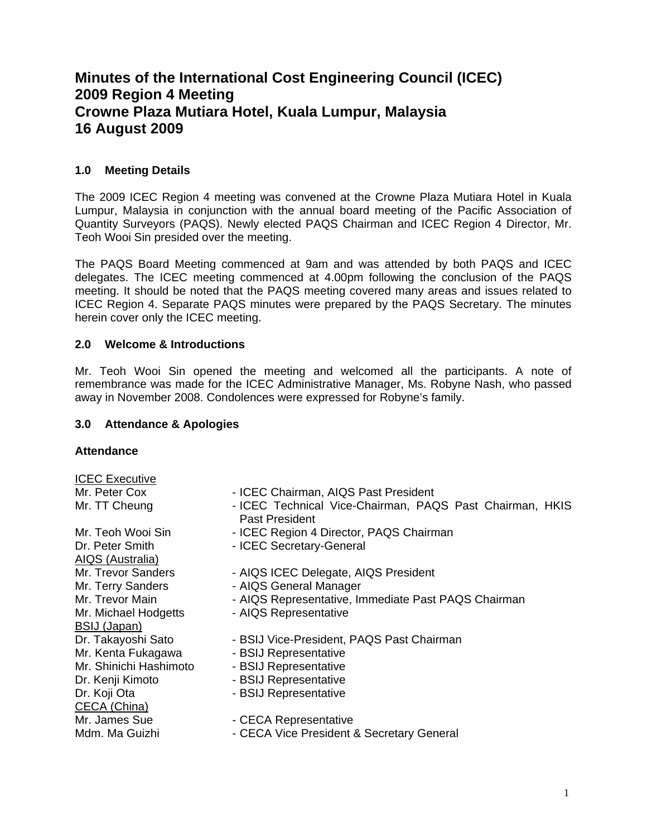# **Minutes of the International Cost Engineering Council (ICEC) 2009 Region 4 Meeting Crowne Plaza Mutiara Hotel, Kuala Lumpur, Malaysia 16 August 2009**

# **1.0 Meeting Details**

The 2009 ICEC Region 4 meeting was convened at the Crowne Plaza Mutiara Hotel in Kuala Lumpur, Malaysia in conjunction with the annual board meeting of the Pacific Association of Quantity Surveyors (PAQS). Newly elected PAQS Chairman and ICEC Region 4 Director, Mr. Teoh Wooi Sin presided over the meeting.

The PAQS Board Meeting commenced at 9am and was attended by both PAQS and ICEC delegates. The ICEC meeting commenced at 4.00pm following the conclusion of the PAQS meeting. It should be noted that the PAQS meeting covered many areas and issues related to ICEC Region 4. Separate PAQS minutes were prepared by the PAQS Secretary. The minutes herein cover only the ICEC meeting.

# **2.0 Welcome & Introductions**

Mr. Teoh Wooi Sin opened the meeting and welcomed all the participants. A note of remembrance was made for the ICEC Administrative Manager, Ms. Robyne Nash, who passed away in November 2008. Condolences were expressed for Robyne's family.

## **3.0 Attendance & Apologies**

## **Attendance**

ICEC Executive

- AIQS (Australia) BSIJ (Japan) Mr. Kenta Fukagawa - BSIJ Representative Dr. Kenji Kimoto - BSIJ Representative Dr. Koji Ota - BSIJ Representative CECA (China)
- Mr. Peter Cox **Interpreterate ICEC Chairman, AIQS Past President**
- Mr. TT Cheung ICEC Technical Vice-Chairman, PAQS Past Chairman, HKIS Past President
- Mr. Teoh Wooi Sin  **ICEC Region 4 Director, PAQS Chairman**
- Dr. Peter Smith ICEC Secretary-General
- Mr. Trevor Sanders AIQS ICEC Delegate, AIQS President
- Mr. Terry Sanders  **AIQS General Manager**
- Mr. Trevor Main  **AIQS Representative, Immediate Past PAQS Chairman**
- Mr. Michael Hodgetts AIQS Representative
- Dr. Takayoshi Sato BSIJ Vice-President, PAQS Past Chairman
	-
- Mr. Shinichi Hashimoto BSIJ Representative
	-
	-
- Mr. James Sue  **CECA Representative**
- Mdm. Ma Guizhi CECA Vice President & Secretary General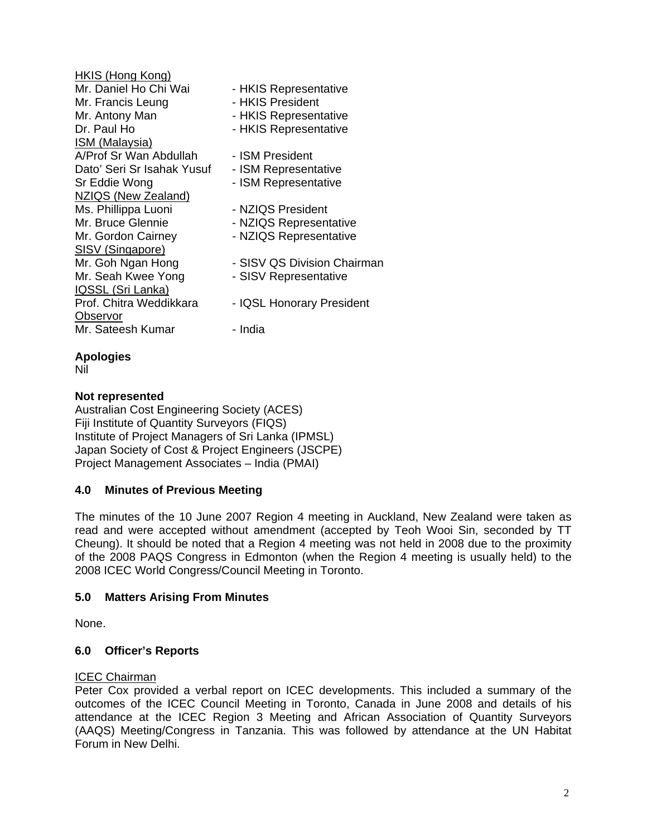| HKIS (Hong Kong)           |                             |
|----------------------------|-----------------------------|
| Mr. Daniel Ho Chi Wai      | - HKIS Representative       |
| Mr. Francis Leung          | - HKIS President            |
| Mr. Antony Man             | - HKIS Representative       |
| Dr. Paul Ho                | - HKIS Representative       |
| <u>ISM (Malaysia)</u>      |                             |
| A/Prof Sr Wan Abdullah     | - ISM President             |
| Dato' Seri Sr Isahak Yusuf | - ISM Representative        |
| Sr Eddie Wong              | - ISM Representative        |
| <b>NZIQS (New Zealand)</b> |                             |
| Ms. Phillippa Luoni        | - NZIQS President           |
| Mr. Bruce Glennie          | - NZIQS Representative      |
| Mr. Gordon Cairney         | - NZIQS Representative      |
| SISV (Singapore)           |                             |
| Mr. Goh Ngan Hong          | - SISV QS Division Chairman |
| Mr. Seah Kwee Yong         | - SISV Representative       |
| <b>IQSSL (Sri Lanka)</b>   |                             |
| Prof. Chitra Weddikkara    | - IQSL Honorary President   |
| Observor                   |                             |
| Mr. Sateesh Kumar          | - India                     |
|                            |                             |

## **Apologies**

Nil

## **Not represented**

Australian Cost Engineering Society (ACES) Fiji Institute of Quantity Surveyors (FIQS) Institute of Project Managers of Sri Lanka (IPMSL) Japan Society of Cost & Project Engineers (JSCPE) Project Management Associates – India (PMAI)

## **4.0 Minutes of Previous Meeting**

The minutes of the 10 June 2007 Region 4 meeting in Auckland, New Zealand were taken as read and were accepted without amendment (accepted by Teoh Wooi Sin, seconded by TT Cheung). It should be noted that a Region 4 meeting was not held in 2008 due to the proximity of the 2008 PAQS Congress in Edmonton (when the Region 4 meeting is usually held) to the 2008 ICEC World Congress/Council Meeting in Toronto.

## **5.0 Matters Arising From Minutes**

None.

## **6.0 Officer's Reports**

#### ICEC Chairman

Peter Cox provided a verbal report on ICEC developments. This included a summary of the outcomes of the ICEC Council Meeting in Toronto, Canada in June 2008 and details of his attendance at the ICEC Region 3 Meeting and African Association of Quantity Surveyors (AAQS) Meeting/Congress in Tanzania. This was followed by attendance at the UN Habitat Forum in New Delhi.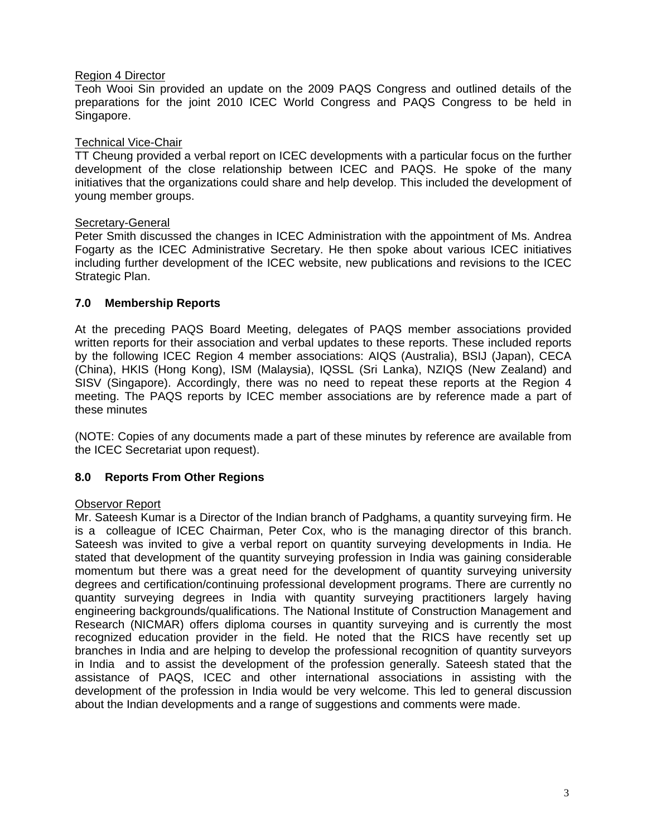#### Region 4 Director

Teoh Wooi Sin provided an update on the 2009 PAQS Congress and outlined details of the preparations for the joint 2010 ICEC World Congress and PAQS Congress to be held in Singapore.

#### Technical Vice-Chair

TT Cheung provided a verbal report on ICEC developments with a particular focus on the further development of the close relationship between ICEC and PAQS. He spoke of the many initiatives that the organizations could share and help develop. This included the development of young member groups.

#### Secretary-General

Peter Smith discussed the changes in ICEC Administration with the appointment of Ms. Andrea Fogarty as the ICEC Administrative Secretary. He then spoke about various ICEC initiatives including further development of the ICEC website, new publications and revisions to the ICEC Strategic Plan.

## **7.0 Membership Reports**

At the preceding PAQS Board Meeting, delegates of PAQS member associations provided written reports for their association and verbal updates to these reports. These included reports by the following ICEC Region 4 member associations: AIQS (Australia), BSIJ (Japan), CECA (China), HKIS (Hong Kong), ISM (Malaysia), IQSSL (Sri Lanka), NZIQS (New Zealand) and SISV (Singapore). Accordingly, there was no need to repeat these reports at the Region 4 meeting. The PAQS reports by ICEC member associations are by reference made a part of these minutes

(NOTE: Copies of any documents made a part of these minutes by reference are available from the ICEC Secretariat upon request).

## **8.0 Reports From Other Regions**

#### Observor Report

Mr. Sateesh Kumar is a Director of the Indian branch of Padghams, a quantity surveying firm. He is a colleague of ICEC Chairman, Peter Cox, who is the managing director of this branch. Sateesh was invited to give a verbal report on quantity surveying developments in India. He stated that development of the quantity surveying profession in India was gaining considerable momentum but there was a great need for the development of quantity surveying university degrees and certification/continuing professional development programs. There are currently no quantity surveying degrees in India with quantity surveying practitioners largely having engineering backgrounds/qualifications. The National Institute of Construction Management and Research (NICMAR) offers diploma courses in quantity surveying and is currently the most recognized education provider in the field. He noted that the RICS have recently set up branches in India and are helping to develop the professional recognition of quantity surveyors in India and to assist the development of the profession generally. Sateesh stated that the assistance of PAQS, ICEC and other international associations in assisting with the development of the profession in India would be very welcome. This led to general discussion about the Indian developments and a range of suggestions and comments were made.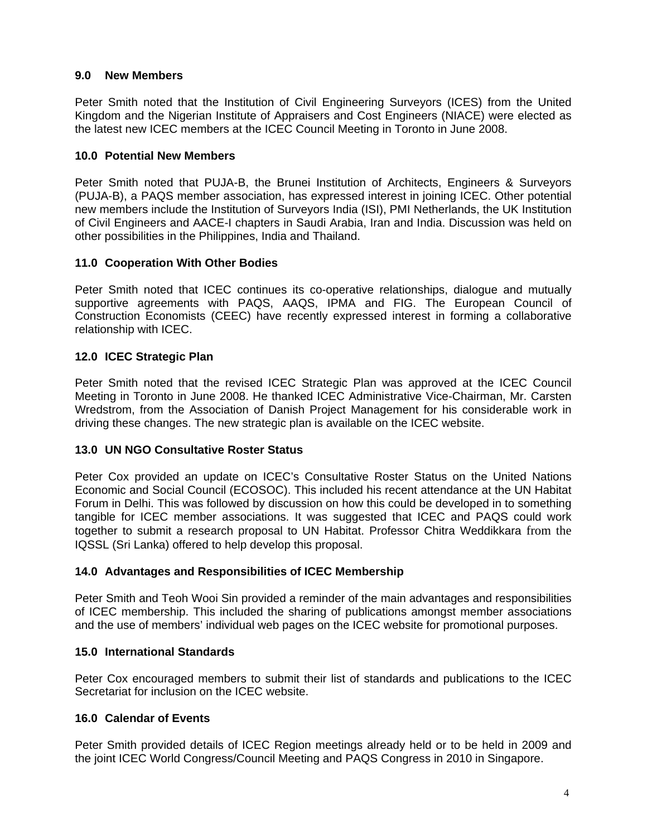## **9.0 New Members**

Peter Smith noted that the Institution of Civil Engineering Surveyors (ICES) from the United Kingdom and the Nigerian Institute of Appraisers and Cost Engineers (NIACE) were elected as the latest new ICEC members at the ICEC Council Meeting in Toronto in June 2008.

## **10.0 Potential New Members**

Peter Smith noted that PUJA-B, the Brunei Institution of Architects, Engineers & Surveyors (PUJA-B), a PAQS member association, has expressed interest in joining ICEC. Other potential new members include the Institution of Surveyors India (ISI), PMI Netherlands, the UK Institution of Civil Engineers and AACE-I chapters in Saudi Arabia, Iran and India. Discussion was held on other possibilities in the Philippines, India and Thailand.

## **11.0 Cooperation With Other Bodies**

Peter Smith noted that ICEC continues its co-operative relationships, dialogue and mutually supportive agreements with PAQS, AAQS, IPMA and FIG. The European Council of Construction Economists (CEEC) have recently expressed interest in forming a collaborative relationship with ICEC.

# **12.0 ICEC Strategic Plan**

Peter Smith noted that the revised ICEC Strategic Plan was approved at the ICEC Council Meeting in Toronto in June 2008. He thanked ICEC Administrative Vice-Chairman, Mr. Carsten Wredstrom, from the Association of Danish Project Management for his considerable work in driving these changes. The new strategic plan is available on the ICEC website.

## **13.0 UN NGO Consultative Roster Status**

Peter Cox provided an update on ICEC's Consultative Roster Status on the United Nations Economic and Social Council (ECOSOC). This included his recent attendance at the UN Habitat Forum in Delhi. This was followed by discussion on how this could be developed in to something tangible for ICEC member associations. It was suggested that ICEC and PAQS could work together to submit a research proposal to UN Habitat. Professor Chitra Weddikkara from the IQSSL (Sri Lanka) offered to help develop this proposal.

# **14.0 Advantages and Responsibilities of ICEC Membership**

Peter Smith and Teoh Wooi Sin provided a reminder of the main advantages and responsibilities of ICEC membership. This included the sharing of publications amongst member associations and the use of members' individual web pages on the ICEC website for promotional purposes.

## **15.0 International Standards**

Peter Cox encouraged members to submit their list of standards and publications to the ICEC Secretariat for inclusion on the ICEC website.

# **16.0 Calendar of Events**

Peter Smith provided details of ICEC Region meetings already held or to be held in 2009 and the joint ICEC World Congress/Council Meeting and PAQS Congress in 2010 in Singapore.